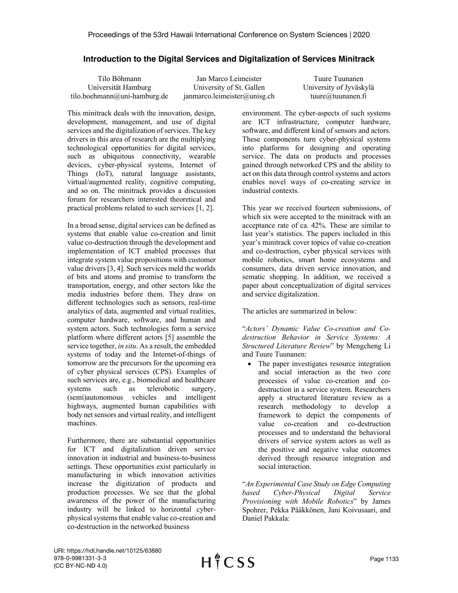## **Introduction to the Digital Services and Digitalization of Services Minitrack**

Tilo Böhmann Universität Hamburg tilo.boehmann@uni-hamburg.de Jan Marco Leimeister University of St. Gallen janmarco.leimeister@unisg.ch

Tuure Tuunanen University of Jyväskylä tuure@tuunanen.fi

This minitrack deals with the innovation, design, development, management, and use of digital services and the digitalization of services. The key drivers in this area of research are the multiplying technological opportunities for digital services, such as ubiquitous connectivity, wearable devices, cyber-physical systems, Internet of Things (IoT), natural language assistants, virtual/augmented reality, cognitive computing, and so on. The minitrack provides a discussion forum for researchers interested theoretical and practical problems related to such services [1, 2].

In a broad sense, digital services can be defined as systems that enable value co-creation and limit value co-destruction through the development and implementation of ICT enabled processes that integrate system value propositions with customer value drivers [3, 4]. Such services meld the worlds of bits and atoms and promise to transform the transportation, energy, and other sectors like the media industries before them. They draw on different technologies such as sensors, real-time analytics of data, augmented and virtual realities, computer hardware, software, and human and system actors. Such technologies form a service platform where different actors [5] assemble the service together, *in situ*. As a result, the embedded systems of today and the Internet-of-things of tomorrow are the precursors for the upcoming era of cyber physical services (CPS). Examples of such services are, e.g., biomedical and healthcare systems such as telerobotic surgery, (semi)autonomous vehicles and intelligent highways, augmented human capabilities with body net sensors and virtual reality, and intelligent machines.

Furthermore, there are substantial opportunities for ICT and digitalization driven service innovation in industrial and business-to-business settings. These opportunities exist particularly in manufacturing in which innovation activities increase the digitization of products and production processes. We see that the global awareness of the power of the manufacturing industry will be linked to horizontal cyberphysical systems that enable value co-creation and co-destruction in the networked business

environment. The cyber-aspects of such systems are ICT infrastructure, computer hardware, software, and different kind of sensors and actors. These components turn cyber-physical systems into platforms for designing and operating service. The data on products and processes gained through networked CPS and the ability to act on this data through control systems and actors enables novel ways of co-creating service in industrial contexts.

This year we received fourteen submissions, of which six were accepted to the minitrack with an acceptance rate of ca. 42%. These are similar to last year's statistics. The papers included in this year's minitrack cover topics of value co-creation and co-destruction, cyber physical services with mobile robotics, smart home ecosystems and consumers, data driven service innovation, and sematic shopping. In addition, we received a paper about conceptualization of digital services and service digitalization.

The articles are summarized in below:

"*Actors' Dynamic Value Co-creation and Codestruction Behavior in Service Systems: A Structured Literature Review*" by Mengcheng Li and Tuure Tuunanen:

• The paper investigates resource integration and social interaction as the two core processes of value co-creation and codestruction in a service system. Researchers apply a structured literature review as a research methodology to develop a framework to depict the components of value co-creation and co-destruction processes and to understand the behavioral drivers of service system actors as well as the positive and negative value outcomes derived through resource integration and social interaction.

"*An Experimental Case Study on Edge Computing based Cyber-Physical Digital Service Provisioning with Mobile Robotics*" by James Spohrer, Pekka Pääkkönen, Jani Koivusaari, and Daniel Pakkala: